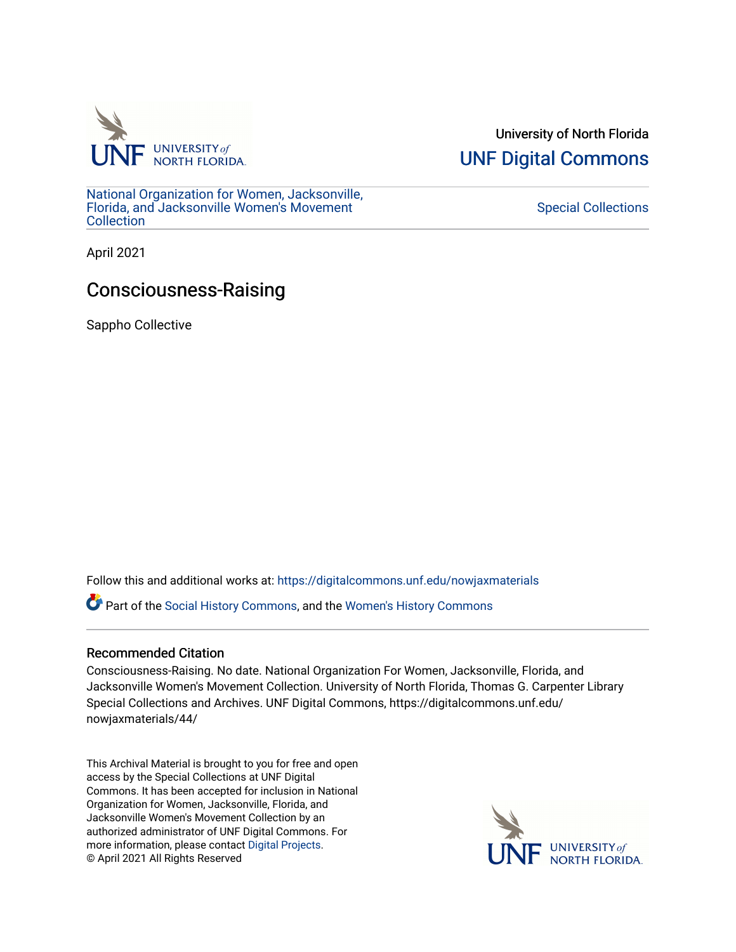

University of North Florida [UNF Digital Commons](https://digitalcommons.unf.edu/) 

[National Organization for Women, Jacksonville,](https://digitalcommons.unf.edu/nowjaxmaterials) [Florida, and Jacksonville Women's Movement](https://digitalcommons.unf.edu/nowjaxmaterials) [Collection](https://digitalcommons.unf.edu/nowjaxmaterials) 

[Special Collections](https://digitalcommons.unf.edu/special_collections) 

April 2021

## Consciousness-Raising

Sappho Collective

Follow this and additional works at: [https://digitalcommons.unf.edu/nowjaxmaterials](https://digitalcommons.unf.edu/nowjaxmaterials?utm_source=digitalcommons.unf.edu%2Fnowjaxmaterials%2F44&utm_medium=PDF&utm_campaign=PDFCoverPages) 

Part of the [Social History Commons](http://network.bepress.com/hgg/discipline/506?utm_source=digitalcommons.unf.edu%2Fnowjaxmaterials%2F44&utm_medium=PDF&utm_campaign=PDFCoverPages), and the [Women's History Commons](http://network.bepress.com/hgg/discipline/507?utm_source=digitalcommons.unf.edu%2Fnowjaxmaterials%2F44&utm_medium=PDF&utm_campaign=PDFCoverPages)

## Recommended Citation

Consciousness-Raising. No date. National Organization For Women, Jacksonville, Florida, and Jacksonville Women's Movement Collection. University of North Florida, Thomas G. Carpenter Library Special Collections and Archives. UNF Digital Commons, https://digitalcommons.unf.edu/ nowjaxmaterials/44/

This Archival Material is brought to you for free and open access by the Special Collections at UNF Digital Commons. It has been accepted for inclusion in National Organization for Women, Jacksonville, Florida, and Jacksonville Women's Movement Collection by an authorized administrator of UNF Digital Commons. For more information, please contact [Digital Projects](mailto:lib-digital@unf.edu). © April 2021 All Rights Reserved

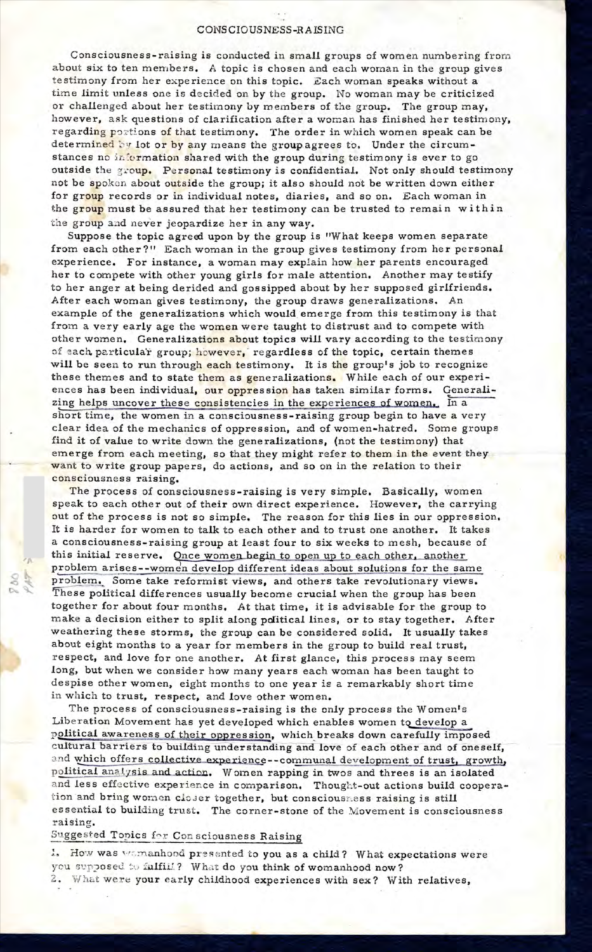## CONSCIOUSNESS-RAISING

Consciousness-raising is conducted in small groups of women numbering from about six to ten members. A topic is chosen and each woman in the group gives testimony from her experience on this topic. Each woman speaks without a time limit unless one is decided on by the group. No woman may be criticized or challenged about her testimony by members of the group. The group may, however, ask questions of clarification after a woman has finished her testimony, regarding portions of that testimony. The order in which women speak can be determined by lot or by any means the group agrees to. Under the circumstances no information shared with the group during testimony is ever to go outside the group. Personal testimony is confidential. Not only should testimony not be spoken about outside the group; it also should not be written down either for group records or in individual notes, diaries, and so on. Each woman in the group must be assured that her testimony can be trusted to remain within the group and never jeopardize her in any way.

Suppose the topic agreed upon by the group is "What keeps women separate from each other?" Each woman in the group gives testimony from her personal experience. For instance, a woman may explain how her parents encouraged her to compete with other young girls for male attention. Another may testify to her anger at being derided and gossipped about by her supposed girlfriends. After each woman gives testimony, the group draws generalizations. An example of the generalizations which would emerge from this testimony is that from a very early age the women were taught to distrust and to compete with other women. Generalizations about topics will vary according to the testimony of each particular group; however, regardless of the topic, certain themes will be seen to run through each testimony. It is the group's job to recognize these themes and to state them as generalizations. While each of our experiences has been individual, our oppression has taken similar forms. Generalizing helps uncover these consistencies in the experiences of women. In a short time, the women in a consciousness-raising group begin to have a very clear idea of the mechanics of oppression, and of women-hatred. Some groups find it of value to write down the generalizations, (not the testimony) that emerge from each meeting, so that they might refer to them in the event they want to write group papers, do actions, and so on in the relation to their consciousness raising.

The process of consciousness-raising is very simple. Basically, women speak to each other out of their own direct experience. However, the carrying out of the process is not so simple. The reason for this lies in our oppression. It is harder for women to talk to each other and to trust one another. It takes a consciousness-raising group at least four to six weeks to mesh, because of this initial reserve. Once women begin to open up to each other, another problem arises--women develop different ideas about solutions for the same problem. Some take reformist views, and others take revolutionary views. These political differences usually become crucial when the group has been together for about four months. At that time, it is advisable for the group to make a decision either to split along political lines, or to stay together. After weathering these storms, the group can be considered solid. It usually takes about eight months to a year for members in the group to build real trust, respect, and love for one another. At first glance, this process may seem long, but when we consider how many years each woman has been taught to despise other women, eight months to one year is a remarkably short time in which to trust, respect, and love other women.

The process of consciousness-raising is the only process the Women's Liberation Movement has yet developed which enables women to develop a political awareness of their oppression, which breaks down carefully imposed cultural barriers to building understanding and love of each other and of oneself, and which offers collective experience--communal development of trust, growth, political analysis and action. Women rapping in twos and threes is an isolated and less effective experience in comparison. Thought-out actions build cooperation and bring women closer together, but consciousness raising is still es sential to building trust. The corner-stone of the Movement is consciousness :raising.

## Suggested Topics for Cons ciousness Raising

1. How was womanhood presented to you as a child? What expectations were you supposed to fulfill? What do you think of womanhood now? 2. What were your early childhood experiences with sex? With relatives,